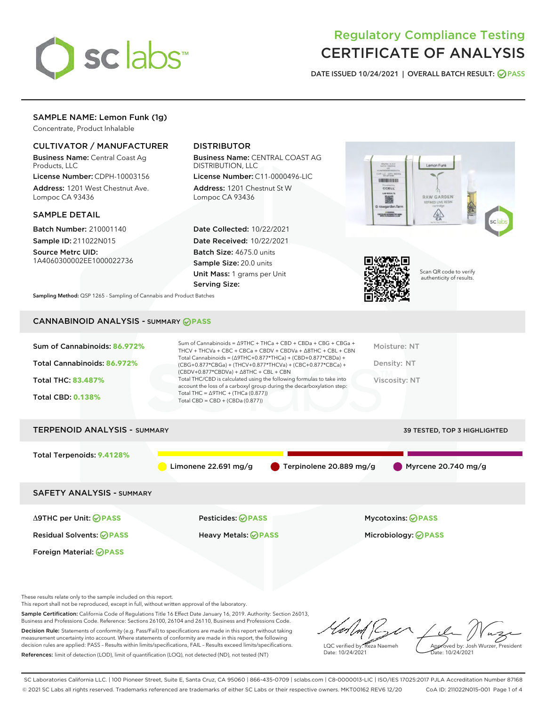

# Regulatory Compliance Testing CERTIFICATE OF ANALYSIS

DATE ISSUED 10/24/2021 | OVERALL BATCH RESULT: @ PASS

## SAMPLE NAME: Lemon Funk (1g)

Concentrate, Product Inhalable

## CULTIVATOR / MANUFACTURER

Business Name: Central Coast Ag Products, LLC

License Number: CDPH-10003156 Address: 1201 West Chestnut Ave. Lompoc CA 93436

## SAMPLE DETAIL

Batch Number: 210001140 Sample ID: 211022N015

Source Metrc UID: 1A4060300002EE1000022736

## DISTRIBUTOR

Business Name: CENTRAL COAST AG DISTRIBUTION, LLC

License Number: C11-0000496-LIC Address: 1201 Chestnut St W Lompoc CA 93436

Date Collected: 10/22/2021 Date Received: 10/22/2021 Batch Size: 4675.0 units Sample Size: 20.0 units Unit Mass: 1 grams per Unit Serving Size:





Scan QR code to verify authenticity of results.

Sampling Method: QSP 1265 - Sampling of Cannabis and Product Batches

## CANNABINOID ANALYSIS - SUMMARY **PASS**

| Sum of Cannabinoids: 86.972%<br>Total Cannabinoids: 86.972%<br><b>Total THC: 83,487%</b><br><b>Total CBD: 0.138%</b> | Sum of Cannabinoids = $\triangle$ 9THC + THCa + CBD + CBDa + CBG + CBGa +<br>THCV + THCVa + CBC + CBCa + CBDV + CBDVa + $\Delta$ 8THC + CBL + CBN<br>Total Cannabinoids = $(\Delta 9THC + 0.877*THCa) + (CBD+0.877*CBDa) +$<br>$(CBG+0.877*CBGa) + (THCV+0.877*THCVa) + (CBC+0.877*CBCa) +$<br>$(CBDV+0.877*CBDVa) + \Delta 8THC + CBL + CBN$<br>Total THC/CBD is calculated using the following formulas to take into<br>account the loss of a carboxyl group during the decarboxylation step:<br>Total THC = $\triangle$ 9THC + (THCa (0.877))<br>Total CBD = $CBD + (CBDa (0.877))$ | Moisture: NT<br>Density: NT<br>Viscosity: NT |
|----------------------------------------------------------------------------------------------------------------------|----------------------------------------------------------------------------------------------------------------------------------------------------------------------------------------------------------------------------------------------------------------------------------------------------------------------------------------------------------------------------------------------------------------------------------------------------------------------------------------------------------------------------------------------------------------------------------------|----------------------------------------------|
| <b>TERPENOID ANALYSIS - SUMMARY</b>                                                                                  |                                                                                                                                                                                                                                                                                                                                                                                                                                                                                                                                                                                        | <b>39 TESTED, TOP 3 HIGHLIGHTED</b>          |
|                                                                                                                      |                                                                                                                                                                                                                                                                                                                                                                                                                                                                                                                                                                                        |                                              |
| Total Terpenoids: 9.4128%                                                                                            | Terpinolene 20.889 mg/g<br>Limonene $22.691$ mg/g                                                                                                                                                                                                                                                                                                                                                                                                                                                                                                                                      | Myrcene $20.740$ mg/g                        |

SAFETY ANALYSIS - SUMMARY

Δ9THC per Unit: **PASS** Pesticides: **PASS** Mycotoxins: **PASS**

Foreign Material: **PASS**

Residual Solvents: **PASS** Heavy Metals: **PASS** Microbiology: **PASS**

These results relate only to the sample included on this report.

This report shall not be reproduced, except in full, without written approval of the laboratory.

Sample Certification: California Code of Regulations Title 16 Effect Date January 16, 2019. Authority: Section 26013, Business and Professions Code. Reference: Sections 26100, 26104 and 26110, Business and Professions Code. Decision Rule: Statements of conformity (e.g. Pass/Fail) to specifications are made in this report without taking

measurement uncertainty into account. Where statements of conformity are made in this report, the following decision rules are applied: PASS – Results within limits/specifications, FAIL – Results exceed limits/specifications. References: limit of detection (LOD), limit of quantification (LOQ), not detected (ND), not tested (NT)

LQC verified by: Reza Naemeh Date: 10/24/2021 Approved by: Josh Wurzer, President Date: 10/24/2021

SC Laboratories California LLC. | 100 Pioneer Street, Suite E, Santa Cruz, CA 95060 | 866-435-0709 | sclabs.com | C8-0000013-LIC | ISO/IES 17025:2017 PJLA Accreditation Number 87168 © 2021 SC Labs all rights reserved. Trademarks referenced are trademarks of either SC Labs or their respective owners. MKT00162 REV6 12/20 CoA ID: 211022N015-001 Page 1 of 4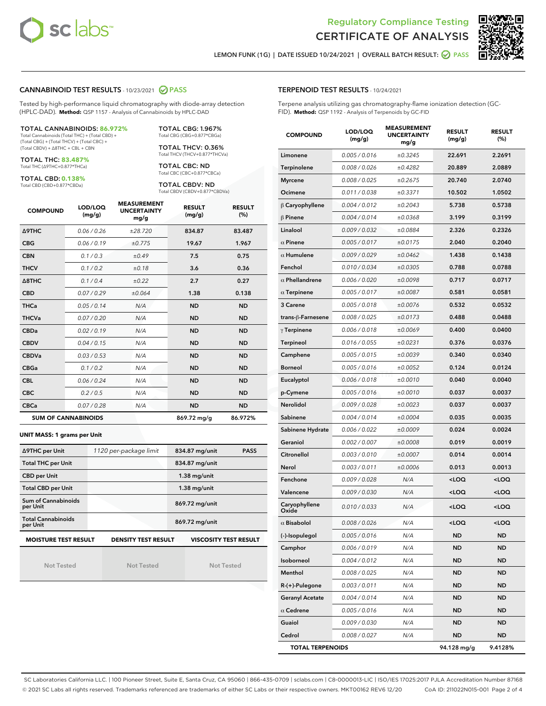



LEMON FUNK (1G) | DATE ISSUED 10/24/2021 | OVERALL BATCH RESULT: O PASS

## CANNABINOID TEST RESULTS - 10/23/2021 2 PASS

Tested by high-performance liquid chromatography with diode-array detection (HPLC-DAD). **Method:** QSP 1157 - Analysis of Cannabinoids by HPLC-DAD

#### TOTAL CANNABINOIDS: **86.972%**

Total Cannabinoids (Total THC) + (Total CBD) + (Total CBG) + (Total THCV) + (Total CBC) + (Total CBDV) + ∆8THC + CBL + CBN

TOTAL THC: **83.487%** Total THC (∆9THC+0.877\*THCa)

TOTAL CBD: **0.138%**

Total CBD (CBD+0.877\*CBDa)

TOTAL CBG: 1.967% Total CBG (CBG+0.877\*CBGa)

TOTAL THCV: 0.36% Total THCV (THCV+0.877\*THCVa)

TOTAL CBC: ND Total CBC (CBC+0.877\*CBCa)

TOTAL CBDV: ND Total CBDV (CBDV+0.877\*CBDVa)

| <b>COMPOUND</b>  | LOD/LOQ<br>(mg/g)          | <b>MEASUREMENT</b><br><b>UNCERTAINTY</b><br>mg/g | <b>RESULT</b><br>(mg/g) | <b>RESULT</b><br>(%) |
|------------------|----------------------------|--------------------------------------------------|-------------------------|----------------------|
| <b>A9THC</b>     | 0.06/0.26                  | ±28.720                                          | 834.87                  | 83.487               |
| <b>CBG</b>       | 0.06 / 0.19                | ±0.775                                           | 19.67                   | 1.967                |
| <b>CBN</b>       | 0.1 / 0.3                  | ±0.49                                            | 7.5                     | 0.75                 |
| <b>THCV</b>      | 0.1/0.2                    | ±0.18                                            | 3.6                     | 0.36                 |
| $\triangle$ 8THC | 0.1 / 0.4                  | ±0.22                                            | 2.7                     | 0.27                 |
| <b>CBD</b>       | 0.07/0.29                  | ±0.064                                           | 1.38                    | 0.138                |
| <b>THCa</b>      | 0.05/0.14                  | N/A                                              | <b>ND</b>               | <b>ND</b>            |
| <b>THCVa</b>     | 0.07/0.20                  | N/A                                              | <b>ND</b>               | <b>ND</b>            |
| <b>CBDa</b>      | 0.02/0.19                  | N/A                                              | <b>ND</b>               | <b>ND</b>            |
| <b>CBDV</b>      | 0.04 / 0.15                | N/A                                              | <b>ND</b>               | <b>ND</b>            |
| <b>CBDVa</b>     | 0.03/0.53                  | N/A                                              | <b>ND</b>               | <b>ND</b>            |
| <b>CBGa</b>      | 0.1 / 0.2                  | N/A                                              | <b>ND</b>               | <b>ND</b>            |
| <b>CBL</b>       | 0.06/0.24                  | N/A                                              | <b>ND</b>               | <b>ND</b>            |
| <b>CBC</b>       | 0.2 / 0.5                  | N/A                                              | <b>ND</b>               | <b>ND</b>            |
| <b>CBCa</b>      | 0.07/0.28                  | N/A                                              | <b>ND</b>               | <b>ND</b>            |
|                  | <b>SUM OF CANNABINOIDS</b> |                                                  | 869.72 mg/g             | 86.972%              |

#### **UNIT MASS: 1 grams per Unit**

| ∆9THC per Unit                        | 1120 per-package limit     | 834.87 mg/unit<br><b>PASS</b> |
|---------------------------------------|----------------------------|-------------------------------|
| <b>Total THC per Unit</b>             |                            | 834.87 mg/unit                |
| <b>CBD per Unit</b>                   |                            | $1.38$ mg/unit                |
| <b>Total CBD per Unit</b>             |                            | $1.38$ mg/unit                |
| Sum of Cannabinoids<br>per Unit       |                            | 869.72 mg/unit                |
| <b>Total Cannabinoids</b><br>per Unit |                            | 869.72 mg/unit                |
| <b>MOISTURE TEST RESULT</b>           | <b>DENSITY TEST RESULT</b> | <b>VISCOSITY TEST RESULT</b>  |

Not Tested

Not Tested

Not Tested

Terpene analysis utilizing gas chromatography-flame ionization detection (GC-FID). **Method:** QSP 1192 - Analysis of Terpenoids by GC-FID

| <b>COMPOUND</b>         | LOD/LOQ<br>(mg/g) | <b>MEASUREMENT</b><br><b>UNCERTAINTY</b><br>mg/g | <b>RESULT</b><br>(mg/g)                         | <b>RESULT</b><br>$(\%)$ |
|-------------------------|-------------------|--------------------------------------------------|-------------------------------------------------|-------------------------|
| Limonene                | 0.005 / 0.016     | ±0.3245                                          | 22.691                                          | 2.2691                  |
| Terpinolene             | 0.008 / 0.026     | ±0.4282                                          | 20.889                                          | 2.0889                  |
| <b>Myrcene</b>          | 0.008 / 0.025     | ±0.2675                                          | 20.740                                          | 2.0740                  |
| Ocimene                 | 0.011 / 0.038     | ±0.3371                                          | 10.502                                          | 1.0502                  |
| $\beta$ Caryophyllene   | 0.004 / 0.012     | ±0.2043                                          | 5.738                                           | 0.5738                  |
| $\beta$ Pinene          | 0.004 / 0.014     | ±0.0368                                          | 3.199                                           | 0.3199                  |
| Linalool                | 0.009 / 0.032     | ±0.0884                                          | 2.326                                           | 0.2326                  |
| $\alpha$ Pinene         | 0.005 / 0.017     | ±0.0175                                          | 2.040                                           | 0.2040                  |
| $\alpha$ Humulene       | 0.009/0.029       | ±0.0462                                          | 1.438                                           | 0.1438                  |
| Fenchol                 | 0.010 / 0.034     | ±0.0305                                          | 0.788                                           | 0.0788                  |
| $\alpha$ Phellandrene   | 0.006 / 0.020     | ±0.0098                                          | 0.717                                           | 0.0717                  |
| $\alpha$ Terpinene      | 0.005 / 0.017     | ±0.0087                                          | 0.581                                           | 0.0581                  |
| 3 Carene                | 0.005 / 0.018     | ±0.0076                                          | 0.532                                           | 0.0532                  |
| trans-ß-Farnesene       | 0.008 / 0.025     | ±0.0173                                          | 0.488                                           | 0.0488                  |
| $\gamma$ Terpinene      | 0.006 / 0.018     | ±0.0069                                          | 0.400                                           | 0.0400                  |
| <b>Terpineol</b>        | 0.016 / 0.055     | ±0.0231                                          | 0.376                                           | 0.0376                  |
| Camphene                | 0.005 / 0.015     | ±0.0039                                          | 0.340                                           | 0.0340                  |
| <b>Borneol</b>          | 0.005 / 0.016     | ±0.0052                                          | 0.124                                           | 0.0124                  |
| Eucalyptol              | 0.006 / 0.018     | ±0.0010                                          | 0.040                                           | 0.0040                  |
| p-Cymene                | 0.005 / 0.016     | ±0.0010                                          | 0.037                                           | 0.0037                  |
| Nerolidol               | 0.009 / 0.028     | ±0.0023                                          | 0.037                                           | 0.0037                  |
| Sabinene                | 0.004 / 0.014     | ±0.0004                                          | 0.035                                           | 0.0035                  |
| Sabinene Hydrate        | 0.006 / 0.022     | ±0.0009                                          | 0.024                                           | 0.0024                  |
| Geraniol                | 0.002 / 0.007     | ±0.0008                                          | 0.019                                           | 0.0019                  |
| Citronellol             | 0.003 / 0.010     | ±0.0007                                          | 0.014                                           | 0.0014                  |
| Nerol                   | 0.003 / 0.011     | ±0.0006                                          | 0.013                                           | 0.0013                  |
| Fenchone                | 0.009 / 0.028     | N/A                                              | <loq< th=""><th><loq< th=""></loq<></th></loq<> | <loq< th=""></loq<>     |
| Valencene               | 0.009 / 0.030     | N/A                                              | <loq< th=""><th><loq< th=""></loq<></th></loq<> | <loq< th=""></loq<>     |
| Caryophyllene<br>Oxide  | 0.010 / 0.033     | N/A                                              | <loq< th=""><th><loq< th=""></loq<></th></loq<> | <loq< th=""></loq<>     |
| $\alpha$ Bisabolol      | 0.008 / 0.026     | N/A                                              | <loq< th=""><th><loq< th=""></loq<></th></loq<> | <loq< th=""></loq<>     |
| (-)-Isopulegol          | 0.005 / 0.016     | N/A                                              | ND                                              | ND                      |
| Camphor                 | 0.006 / 0.019     | N/A                                              | ND                                              | ND                      |
| Isoborneol              | 0.004 / 0.012     | N/A                                              | <b>ND</b>                                       | <b>ND</b>               |
| Menthol                 | 0.008 / 0.025     | N/A                                              | <b>ND</b>                                       | <b>ND</b>               |
| $R-(+)$ -Pulegone       | 0.003 / 0.011     | N/A                                              | ND                                              | ND                      |
| <b>Geranyl Acetate</b>  | 0.004 / 0.014     | N/A                                              | <b>ND</b>                                       | ND                      |
| $\alpha$ Cedrene        | 0.005 / 0.016     | N/A                                              | <b>ND</b>                                       | <b>ND</b>               |
| Guaiol                  | 0.009 / 0.030     | N/A                                              | ND                                              | ND                      |
| Cedrol                  | 0.008 / 0.027     | N/A                                              | <b>ND</b>                                       | ND                      |
| <b>TOTAL TERPENOIDS</b> |                   |                                                  | 94.128 mg/g                                     | 9.4128%                 |

SC Laboratories California LLC. | 100 Pioneer Street, Suite E, Santa Cruz, CA 95060 | 866-435-0709 | sclabs.com | C8-0000013-LIC | ISO/IES 17025:2017 PJLA Accreditation Number 87168 © 2021 SC Labs all rights reserved. Trademarks referenced are trademarks of either SC Labs or their respective owners. MKT00162 REV6 12/20 CoA ID: 211022N015-001 Page 2 of 4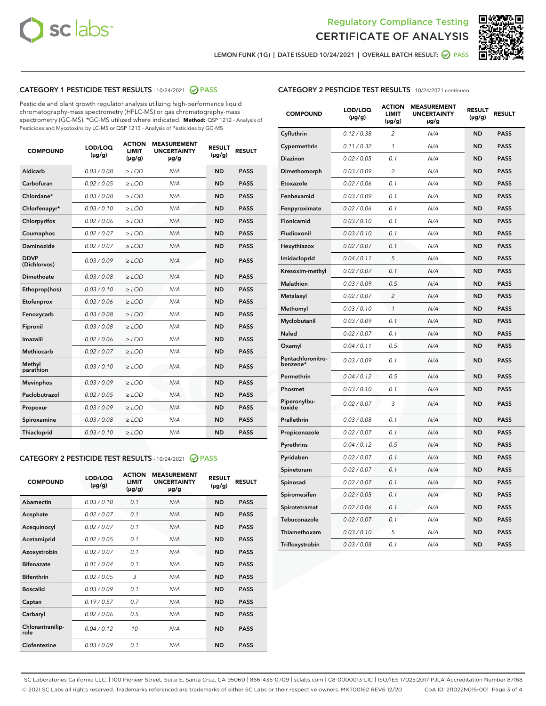



LEMON FUNK (1G) | DATE ISSUED 10/24/2021 | OVERALL BATCH RESULT: 2 PASS

## CATEGORY 1 PESTICIDE TEST RESULTS - 10/24/2021 2 PASS

Pesticide and plant growth regulator analysis utilizing high-performance liquid chromatography-mass spectrometry (HPLC-MS) or gas chromatography-mass spectrometry (GC-MS). \*GC-MS utilized where indicated. **Method:** QSP 1212 - Analysis of Pesticides and Mycotoxins by LC-MS or QSP 1213 - Analysis of Pesticides by GC-MS

| <b>COMPOUND</b>             | LOD/LOQ<br>$(\mu g/g)$ | <b>ACTION</b><br><b>LIMIT</b><br>$(\mu g/g)$ | <b>MEASUREMENT</b><br><b>UNCERTAINTY</b><br>$\mu$ g/g | <b>RESULT</b><br>$(\mu g/g)$ | <b>RESULT</b> |
|-----------------------------|------------------------|----------------------------------------------|-------------------------------------------------------|------------------------------|---------------|
| Aldicarb                    | 0.03/0.08              | $>$ LOD                                      | N/A                                                   | <b>ND</b>                    | <b>PASS</b>   |
| Carbofuran                  | 0.02 / 0.05            | $\ge$ LOD                                    | N/A                                                   | <b>ND</b>                    | <b>PASS</b>   |
| Chlordane*                  | 0.03/0.08              | $>$ LOD                                      | N/A                                                   | <b>ND</b>                    | <b>PASS</b>   |
| Chlorfenapyr*               | 0.03/0.10              | $\ge$ LOD                                    | N/A                                                   | <b>ND</b>                    | <b>PASS</b>   |
| Chlorpyrifos                | 0.02 / 0.06            | $\ge$ LOD                                    | N/A                                                   | <b>ND</b>                    | <b>PASS</b>   |
| Coumaphos                   | 0.02 / 0.07            | $\ge$ LOD                                    | N/A                                                   | <b>ND</b>                    | <b>PASS</b>   |
| Daminozide                  | 0.02 / 0.07            | $\ge$ LOD                                    | N/A                                                   | <b>ND</b>                    | <b>PASS</b>   |
| <b>DDVP</b><br>(Dichlorvos) | 0.03/0.09              | $\ge$ LOD                                    | N/A                                                   | <b>ND</b>                    | <b>PASS</b>   |
| <b>Dimethoate</b>           | 0.03/0.08              | $\ge$ LOD                                    | N/A                                                   | <b>ND</b>                    | <b>PASS</b>   |
| Ethoprop(hos)               | 0.03/0.10              | $\ge$ LOD                                    | N/A                                                   | <b>ND</b>                    | <b>PASS</b>   |
| Etofenprox                  | 0.02 / 0.06            | $\ge$ LOD                                    | N/A                                                   | <b>ND</b>                    | <b>PASS</b>   |
| Fenoxycarb                  | 0.03/0.08              | $\ge$ LOD                                    | N/A                                                   | <b>ND</b>                    | <b>PASS</b>   |
| Fipronil                    | 0.03/0.08              | $>$ LOD                                      | N/A                                                   | <b>ND</b>                    | <b>PASS</b>   |
| Imazalil                    | 0.02 / 0.06            | $>$ LOD                                      | N/A                                                   | <b>ND</b>                    | <b>PASS</b>   |
| Methiocarb                  | 0.02 / 0.07            | $\ge$ LOD                                    | N/A                                                   | <b>ND</b>                    | <b>PASS</b>   |
| Methyl<br>parathion         | 0.03/0.10              | $\ge$ LOD                                    | N/A                                                   | <b>ND</b>                    | <b>PASS</b>   |
| <b>Mevinphos</b>            | 0.03/0.09              | $\ge$ LOD                                    | N/A                                                   | <b>ND</b>                    | <b>PASS</b>   |
| Paclobutrazol               | 0.02 / 0.05            | $>$ LOD                                      | N/A                                                   | <b>ND</b>                    | <b>PASS</b>   |
| Propoxur                    | 0.03/0.09              | $\ge$ LOD                                    | N/A                                                   | <b>ND</b>                    | <b>PASS</b>   |
| Spiroxamine                 | 0.03 / 0.08            | $\ge$ LOD                                    | N/A                                                   | <b>ND</b>                    | <b>PASS</b>   |
| Thiacloprid                 | 0.03/0.10              | $\ge$ LOD                                    | N/A                                                   | <b>ND</b>                    | <b>PASS</b>   |

### CATEGORY 2 PESTICIDE TEST RESULTS - 10/24/2021 @ PASS

| <b>COMPOUND</b>          | LOD/LOO<br>$(\mu g/g)$ | <b>ACTION</b><br>LIMIT<br>$(\mu g/g)$ | <b>MEASUREMENT</b><br><b>UNCERTAINTY</b><br>µg/g | <b>RESULT</b><br>$(\mu g/g)$ | <b>RESULT</b> |
|--------------------------|------------------------|---------------------------------------|--------------------------------------------------|------------------------------|---------------|
| Abamectin                | 0.03/0.10              | 0.1                                   | N/A                                              | <b>ND</b>                    | <b>PASS</b>   |
| Acephate                 | 0.02/0.07              | 0.1                                   | N/A                                              | <b>ND</b>                    | <b>PASS</b>   |
| Acequinocyl              | 0.02/0.07              | 0.1                                   | N/A                                              | <b>ND</b>                    | <b>PASS</b>   |
| Acetamiprid              | 0.02/0.05              | 0.1                                   | N/A                                              | <b>ND</b>                    | <b>PASS</b>   |
| Azoxystrobin             | 0.02/0.07              | 0.1                                   | N/A                                              | <b>ND</b>                    | <b>PASS</b>   |
| <b>Bifenazate</b>        | 0.01 / 0.04            | 0.1                                   | N/A                                              | <b>ND</b>                    | <b>PASS</b>   |
| <b>Bifenthrin</b>        | 0.02 / 0.05            | 3                                     | N/A                                              | <b>ND</b>                    | <b>PASS</b>   |
| <b>Boscalid</b>          | 0.03/0.09              | 0.1                                   | N/A                                              | <b>ND</b>                    | <b>PASS</b>   |
| Captan                   | 0.19/0.57              | 0.7                                   | N/A                                              | <b>ND</b>                    | <b>PASS</b>   |
| Carbaryl                 | 0.02/0.06              | 0.5                                   | N/A                                              | <b>ND</b>                    | <b>PASS</b>   |
| Chlorantranilip-<br>role | 0.04/0.12              | 10                                    | N/A                                              | <b>ND</b>                    | <b>PASS</b>   |
| Clofentezine             | 0.03/0.09              | 0.1                                   | N/A                                              | <b>ND</b>                    | <b>PASS</b>   |

| <b>CATEGORY 2 PESTICIDE TEST RESULTS</b> - 10/24/2021 continued |  |
|-----------------------------------------------------------------|--|
|                                                                 |  |

| <b>COMPOUND</b>               | LOD/LOQ<br>(µg/g) | <b>ACTION</b><br><b>LIMIT</b><br>(µg/g) | <b>MEASUREMENT</b><br><b>UNCERTAINTY</b><br>µg/g | <b>RESULT</b><br>(µg/g) | <b>RESULT</b> |
|-------------------------------|-------------------|-----------------------------------------|--------------------------------------------------|-------------------------|---------------|
| Cyfluthrin                    | 0.12 / 0.38       | $\overline{c}$                          | N/A                                              | ND                      | <b>PASS</b>   |
| Cypermethrin                  | 0.11/0.32         | 1                                       | N/A                                              | ND                      | <b>PASS</b>   |
| <b>Diazinon</b>               | 0.02 / 0.05       | 0.1                                     | N/A                                              | ND                      | <b>PASS</b>   |
| Dimethomorph                  | 0.03 / 0.09       | 2                                       | N/A                                              | <b>ND</b>               | <b>PASS</b>   |
| Etoxazole                     | 0.02 / 0.06       | 0.1                                     | N/A                                              | ND                      | <b>PASS</b>   |
| Fenhexamid                    | 0.03 / 0.09       | 0.1                                     | N/A                                              | <b>ND</b>               | <b>PASS</b>   |
| Fenpyroximate                 | 0.02 / 0.06       | 0.1                                     | N/A                                              | ND                      | <b>PASS</b>   |
| Flonicamid                    | 0.03 / 0.10       | 0.1                                     | N/A                                              | ND                      | <b>PASS</b>   |
| Fludioxonil                   | 0.03 / 0.10       | 0.1                                     | N/A                                              | ND                      | <b>PASS</b>   |
| Hexythiazox                   | 0.02 / 0.07       | 0.1                                     | N/A                                              | ND                      | <b>PASS</b>   |
| Imidacloprid                  | 0.04 / 0.11       | 5                                       | N/A                                              | ND                      | <b>PASS</b>   |
| Kresoxim-methyl               | 0.02 / 0.07       | 0.1                                     | N/A                                              | ND                      | <b>PASS</b>   |
| Malathion                     | 0.03 / 0.09       | 0.5                                     | N/A                                              | <b>ND</b>               | <b>PASS</b>   |
| Metalaxyl                     | 0.02 / 0.07       | $\overline{c}$                          | N/A                                              | ND                      | <b>PASS</b>   |
| Methomyl                      | 0.03 / 0.10       | 1                                       | N/A                                              | <b>ND</b>               | <b>PASS</b>   |
| Myclobutanil                  | 0.03 / 0.09       | 0.1                                     | N/A                                              | <b>ND</b>               | <b>PASS</b>   |
| Naled                         | 0.02 / 0.07       | 0.1                                     | N/A                                              | <b>ND</b>               | <b>PASS</b>   |
| Oxamyl                        | 0.04 / 0.11       | 0.5                                     | N/A                                              | <b>ND</b>               | <b>PASS</b>   |
| Pentachloronitro-<br>benzene* | 0.03/0.09         | 0.1                                     | N/A                                              | ND                      | <b>PASS</b>   |
| Permethrin                    | 0.04 / 0.12       | 0.5                                     | N/A                                              | <b>ND</b>               | <b>PASS</b>   |
| Phosmet                       | 0.03 / 0.10       | 0.1                                     | N/A                                              | ND                      | <b>PASS</b>   |
| Piperonylbu-<br>toxide        | 0.02 / 0.07       | 3                                       | N/A                                              | <b>ND</b>               | <b>PASS</b>   |
| Prallethrin                   | 0.03 / 0.08       | 0.1                                     | N/A                                              | ND                      | <b>PASS</b>   |
| Propiconazole                 | 0.02 / 0.07       | 0.1                                     | N/A                                              | ND                      | <b>PASS</b>   |
| Pyrethrins                    | 0.04 / 0.12       | 0.5                                     | N/A                                              | ND                      | <b>PASS</b>   |
| Pyridaben                     | 0.02 / 0.07       | 0.1                                     | N/A                                              | ND                      | <b>PASS</b>   |
| Spinetoram                    | 0.02 / 0.07       | 0.1                                     | N/A                                              | <b>ND</b>               | <b>PASS</b>   |
| Spinosad                      | 0.02 / 0.07       | 0.1                                     | N/A                                              | <b>ND</b>               | <b>PASS</b>   |
| Spiromesifen                  | 0.02 / 0.05       | 0.1                                     | N/A                                              | ND                      | <b>PASS</b>   |
| Spirotetramat                 | 0.02 / 0.06       | 0.1                                     | N/A                                              | ND                      | <b>PASS</b>   |
| Tebuconazole                  | 0.02 / 0.07       | 0.1                                     | N/A                                              | ND                      | <b>PASS</b>   |
| Thiamethoxam                  | 0.03 / 0.10       | 5                                       | N/A                                              | ND                      | <b>PASS</b>   |
| Trifloxystrobin               | 0.03 / 0.08       | 0.1                                     | N/A                                              | ND                      | <b>PASS</b>   |

SC Laboratories California LLC. | 100 Pioneer Street, Suite E, Santa Cruz, CA 95060 | 866-435-0709 | sclabs.com | C8-0000013-LIC | ISO/IES 17025:2017 PJLA Accreditation Number 87168 © 2021 SC Labs all rights reserved. Trademarks referenced are trademarks of either SC Labs or their respective owners. MKT00162 REV6 12/20 CoA ID: 211022N015-001 Page 3 of 4